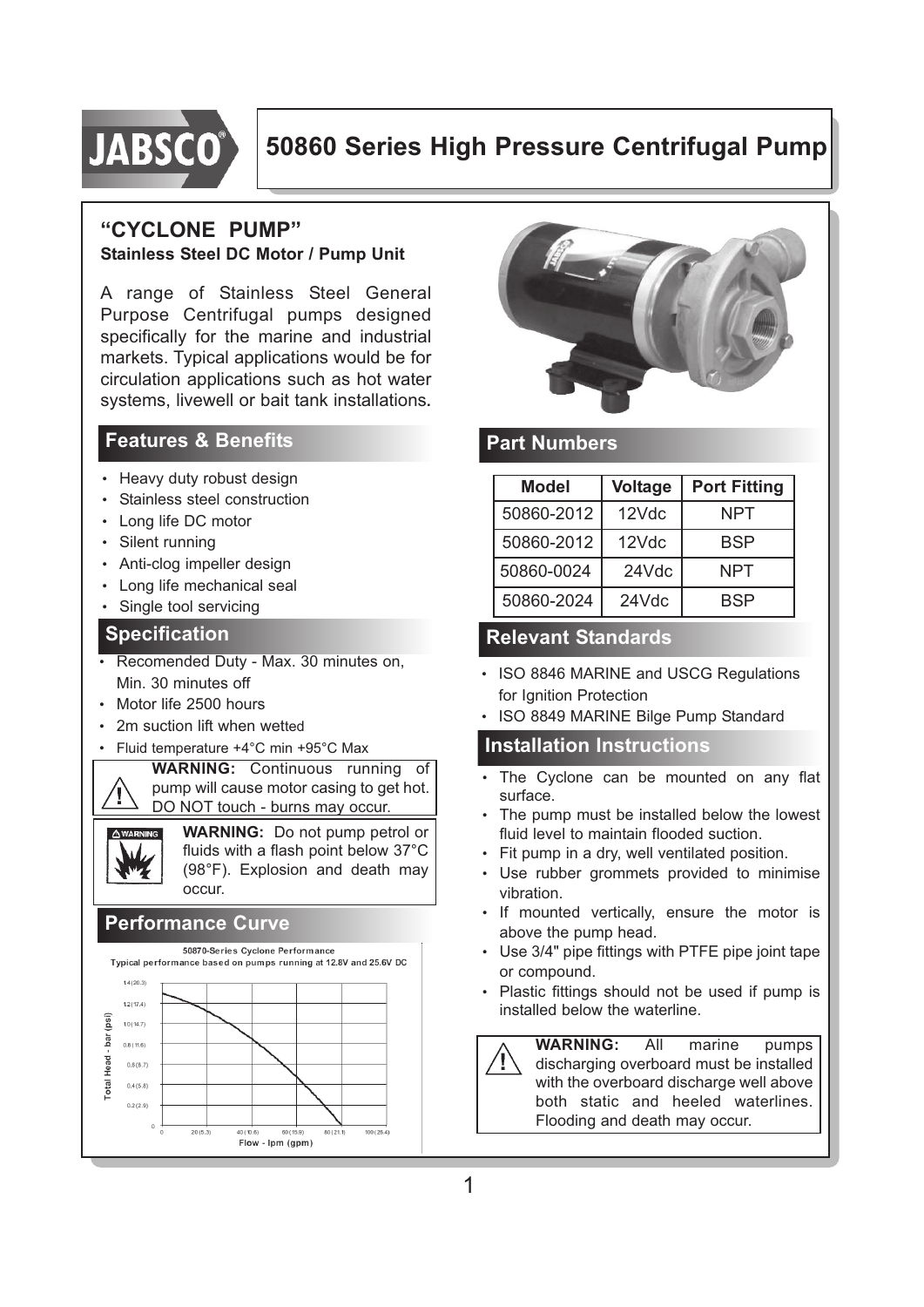

## **50860 Series High Pressure Centrifugal Pump**

#### **"CYCLONE PUMP" Stainless Steel DC Motor / Pump Unit**

A range of Stainless Steel General Purpose Centrifugal pumps designed specifically for the marine and industrial markets. Typical applications would be for circulation applications such as hot water systems, livewell or bait tank installations**.**

## **Features & Benefits**

- Heavy duty robust design
- Stainless steel construction
- Long life DC motor
- Silent running
- Anti-clog impeller design
- Long life mechanical seal
- Single tool servicing

#### **Specification**

- Recomended Duty Max. 30 minutes on, Min. 30 minutes off
- Motor life 2500 hours

Т

- 2m suction lift when wetted
- Fluid temperature +4°C min +95°C Max

**WARNING:** Continuous running of pump will cause motor casing to get hot. DO NOT touch - burns may occur.

**WARNING:** Do not pump petrol or fluids with a flash point below 37°C (98°F). Explosion and death may occur.

### **Performance Curve**





### **Part Numbers**

| <b>Model</b> | <b>Voltage</b> | <b>Port Fitting</b> |
|--------------|----------------|---------------------|
| 50860-2012   | $12$ Vdc       | NPT                 |
| 50860-2012   | 12Vdc          | BSP                 |
| 50860-0024   | 24Vdc          | NPT                 |
| 50860-2024   | 24Vdc          | BSP                 |

## **Relevant Standards**

- ISO 8846 MARINE and USCG Regulations for Ignition Protection
- ISO 8849 MARINE Bilge Pump Standard

#### **Installation Instructions**

- The Cyclone can be mounted on any flat surface.
- The pump must be installed below the lowest fluid level to maintain flooded suction.
- Fit pump in a dry, well ventilated position.
- Use rubber grommets provided to minimise vibration.
- If mounted vertically, ensure the motor is above the pump head.
- Use 3/4" pipe fittings with PTFE pipe joint tape or compound.
- Plastic fittings should not be used if pump is installed below the waterline.

**WARNING:** All marine pumps discharging overboard must be installed with the overboard discharge well above both static and heeled waterlines. Flooding and death may occur.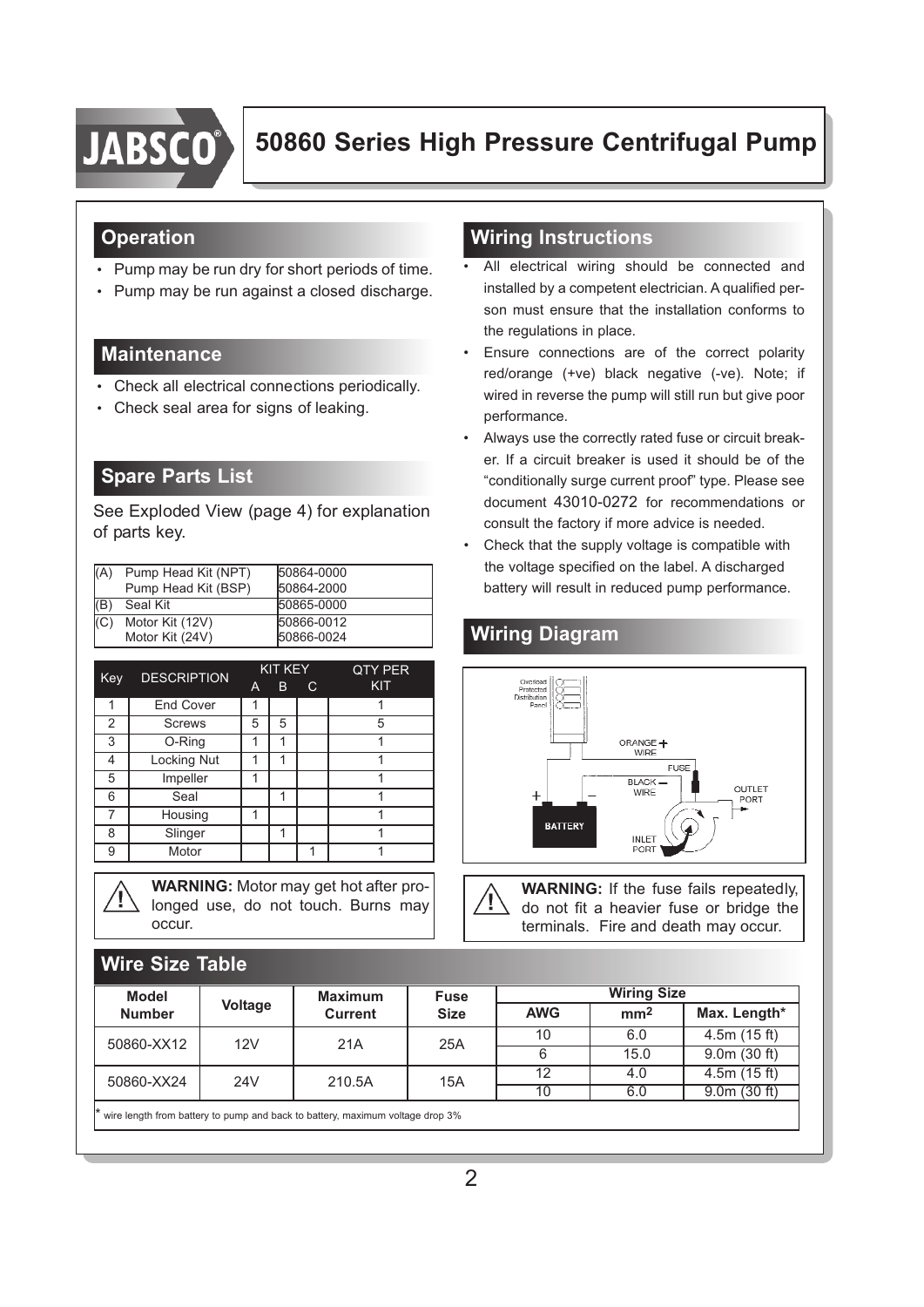

## **Operation**

- Pump may be run dry for short periods of time.
- Pump may be run against a closed discharge.

## **Maintenance**

- Check all electrical connections periodically.
- Check seal area for signs of leaking.

## **Spare Parts List**

**Wire Size Table**

See Exploded View (page 4) for explanation of parts key.

| (A) | Pump Head Kit (NPT)<br>Pump Head Kit (BSP) | 50864-0000<br>50864-2000 |
|-----|--------------------------------------------|--------------------------|
| (B) | Seal Kit                                   | 50865-0000               |
| (C) | Motor Kit (12V)<br>Motor Kit (24V)         | 50866-0012<br>50866-0024 |

| Key | <b>DESCRIPTION</b> |   | KIT KEY |   | <b>QTY PER</b> |
|-----|--------------------|---|---------|---|----------------|
|     |                    | A | В       | С | KIT            |
| 1   | <b>End Cover</b>   |   |         |   |                |
| 2   | <b>Screws</b>      | 5 | 5       |   | 5              |
| 3   | O-Ring             |   |         |   |                |
| 4   | Locking Nut        |   | 1       |   |                |
| 5   | Impeller           |   |         |   |                |
| 6   | Seal               |   |         |   |                |
|     | Housing            | 1 |         |   |                |
| 8   | Slinger            |   |         |   |                |
| 9   | Motor              |   |         |   |                |

**WARNING:** Motor may get hot after pro longed use, do not touch. Burns may occur.

## **Wiring Instructions**

- All electrical wiring should be connected and installed by a competent electrician. A qualified per son must ensure that the installation conforms to the regulations in place.
- Ensure connections are of the correct polarity red/orange (+ve) black negative (-ve). Note; if wired in reverse the pump will still run but give poor performance.
- Always use the correctly rated fuse or circuit break er. If a circuit breaker is used it should be of the "conditionally surge current proof" type. Please see document 43010-0272 for recommendations or consult the factory if more advice is needed.
- Check that the supply voltage is compatible with the voltage specified on the label. A discharged battery will result in reduced pump performance.

## **Wiring Diagram**



**WARNING:** If the fuse fails repeatedly, do not fit a heavier fuse or bridge the terminals. Fire and death may occur.

| <b>Model</b>  |                | <b>Maximum</b><br><b>Current</b> | <b>Fuse</b><br><b>Size</b> | <b>Wiring Size</b> |                 |              |
|---------------|----------------|----------------------------------|----------------------------|--------------------|-----------------|--------------|
| <b>Number</b> | <b>Voltage</b> |                                  |                            | <b>AWG</b>         | mm <sup>2</sup> | Max. Length* |
| 50860-XX12    | 12V            | 21A                              | 25A                        | 10                 | 6.0             | 4.5m(15 ft)  |
|               |                |                                  |                            |                    | 15.0            | 9.0m(30 ft)  |
| 50860-XX24    | 24V<br>210.5A  | 15A                              | 12                         | 4.0                | 4.5m(15 ft)     |              |
|               |                |                                  |                            | 10                 | 6.0             | 9.0m(30 ft)  |

2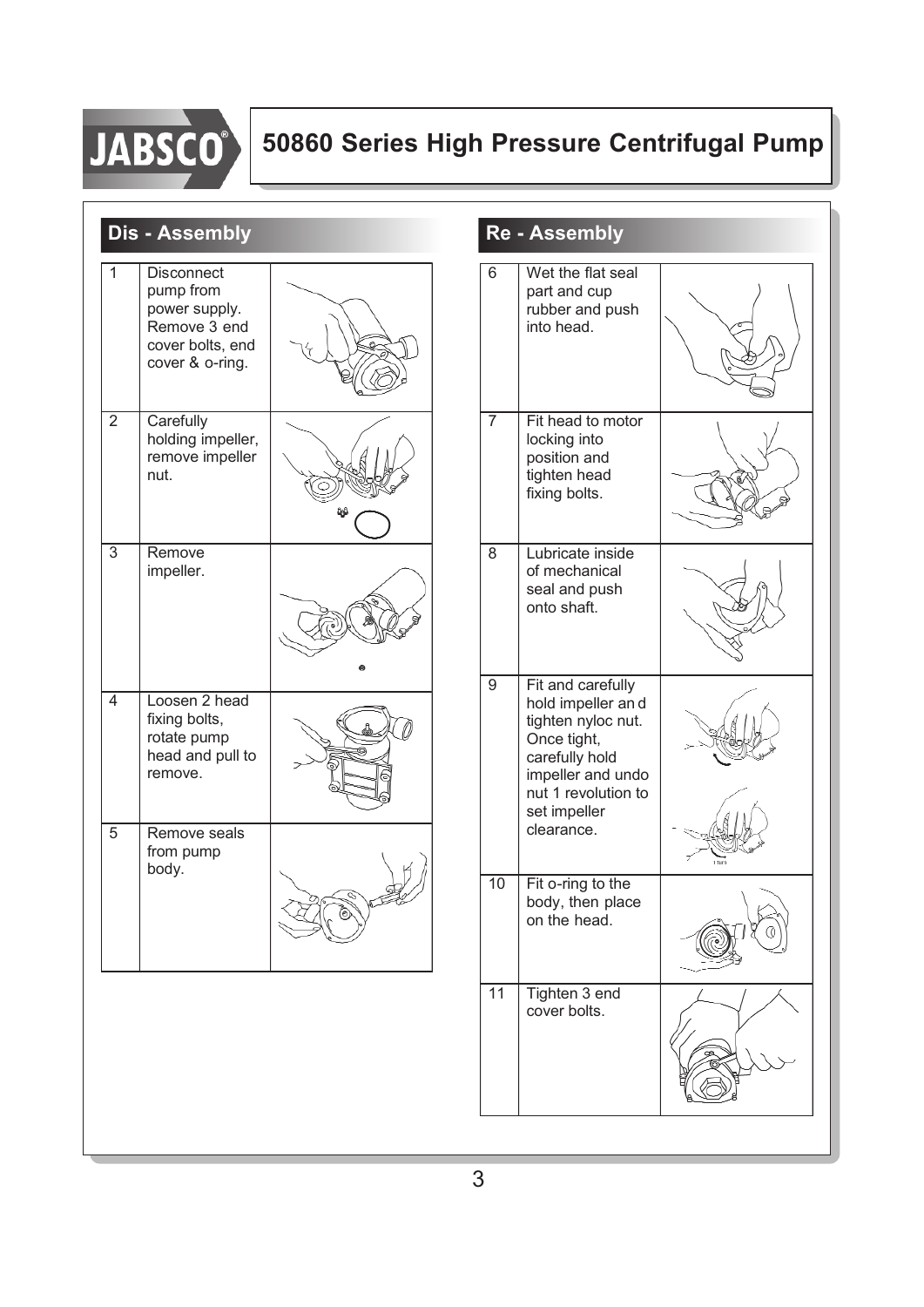

# **50860 Series High Pressure Centrifugal Pump**

|                                       | <b>Dis - Assembly</b>                                                                                  |  |                | <b>Re - Assembly</b>                                                                                                                                      |  |
|---------------------------------------|--------------------------------------------------------------------------------------------------------|--|----------------|-----------------------------------------------------------------------------------------------------------------------------------------------------------|--|
| 1                                     | <b>Disconnect</b><br>pump from<br>power supply.<br>Remove 3 end<br>cover bolts, end<br>cover & o-ring. |  | 6              | Wet the flat seal<br>part and cup<br>rubber and push<br>into head.                                                                                        |  |
| $\overline{2}$<br>Carefully<br>nut.   | holding impeller,<br>remove impeller                                                                   |  | $\overline{7}$ | Fit head to motor<br>locking into<br>position and<br>tighten head<br>fixing bolts.                                                                        |  |
| $\overline{3}$<br>Remove<br>impeller. |                                                                                                        |  | 8              | Lubricate inside<br>of mechanical<br>seal and push<br>onto shaft.                                                                                         |  |
| $\overline{4}$<br>remove.             | Loosen 2 head<br>fixing bolts,<br>rotate pump<br>head and pull to                                      |  | 9              | Fit and carefully<br>hold impeller and<br>tighten nyloc nut.<br>Once tight,<br>carefully hold<br>impeller and undo<br>nut 1 revolution to<br>set impeller |  |
| 5<br>body.                            | Remove seals<br>from pump                                                                              |  | 10             | clearance.<br>Fit o-ring to the<br>body, then place<br>on the head.                                                                                       |  |
|                                       |                                                                                                        |  | 11             | Tighten 3 end<br>cover bolts.                                                                                                                             |  |